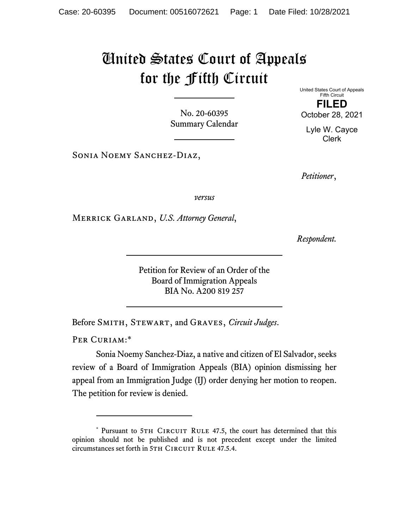## United States Court of Appeals for the Fifth Circuit

No. 20-60395 Summary Calendar

Sonia Noemy Sanchez-Diaz,

United States Court of Appeals Fifth Circuit **FILED**  October 28, 2021

Lyle W. Cayce Clerk

*Petitioner*,

*versus*

Merrick Garland, *U.S. Attorney General*,

*Respondent.* 

Petition for Review of an Order of the Board of Immigration Appeals BIA No. A200 819 257

Before Smith, Stewart, and Graves, *Circuit Judges*.

PER CURIAM:\*

Sonia Noemy Sanchez-Diaz, a native and citizen of El Salvador, seeks review of a Board of Immigration Appeals (BIA) opinion dismissing her appeal from an Immigration Judge (IJ) order denying her motion to reopen. The petition for review is denied.

<sup>\*</sup> Pursuant to 5TH CIRCUIT RULE 47.5, the court has determined that this opinion should not be published and is not precedent except under the limited circumstances set forth in 5TH CIRCUIT RULE 47.5.4.